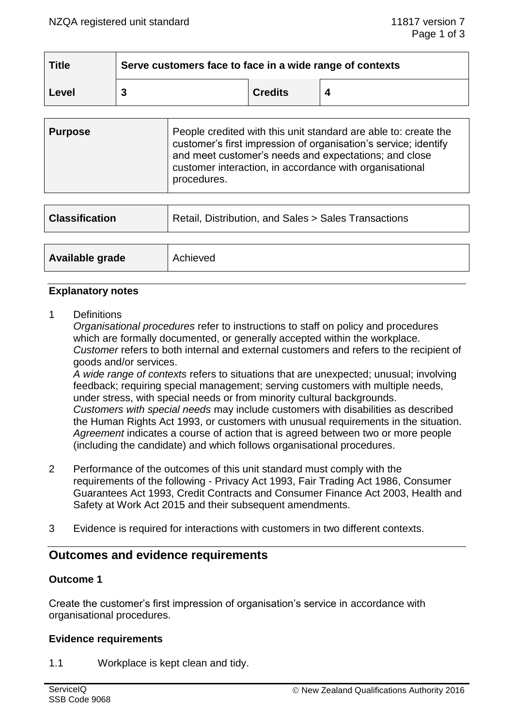| <b>Title</b> | Serve customers face to face in a wide range of contexts |                |  |  |
|--------------|----------------------------------------------------------|----------------|--|--|
| Level        |                                                          | <b>Credits</b> |  |  |

| <b>Purpose</b> | People credited with this unit standard are able to: create the<br>customer's first impression of organisation's service; identify<br>and meet customer's needs and expectations; and close<br>customer interaction, in accordance with organisational<br>procedures. |
|----------------|-----------------------------------------------------------------------------------------------------------------------------------------------------------------------------------------------------------------------------------------------------------------------|
|----------------|-----------------------------------------------------------------------------------------------------------------------------------------------------------------------------------------------------------------------------------------------------------------------|

| <b>Classification</b> | Retail, Distribution, and Sales > Sales Transactions |  |
|-----------------------|------------------------------------------------------|--|
|                       |                                                      |  |
| Available grade       | Achieved                                             |  |

## **Explanatory notes**

1 Definitions

*Organisational procedures* refer to instructions to staff on policy and procedures which are formally documented, or generally accepted within the workplace. *Customer* refers to both internal and external customers and refers to the recipient of goods and/or services.

*A wide range of contexts* refers to situations that are unexpected; unusual; involving feedback; requiring special management; serving customers with multiple needs, under stress, with special needs or from minority cultural backgrounds. *Customers with special needs* may include customers with disabilities as described the Human Rights Act 1993, or customers with unusual requirements in the situation. *Agreement* indicates a course of action that is agreed between two or more people (including the candidate) and which follows organisational procedures.

- 2 Performance of the outcomes of this unit standard must comply with the requirements of the following - Privacy Act 1993, Fair Trading Act 1986, Consumer Guarantees Act 1993, Credit Contracts and Consumer Finance Act 2003, Health and Safety at Work Act 2015 and their subsequent amendments.
- 3 Evidence is required for interactions with customers in two different contexts.

# **Outcomes and evidence requirements**

## **Outcome 1**

Create the customer's first impression of organisation's service in accordance with organisational procedures.

#### **Evidence requirements**

1.1 Workplace is kept clean and tidy.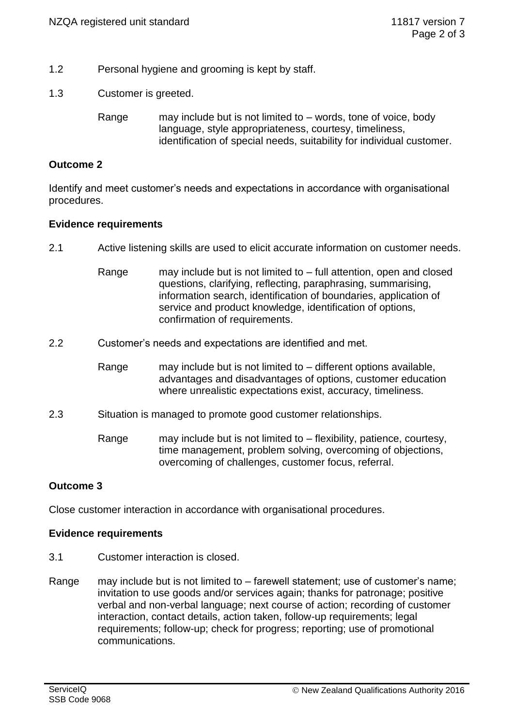- 1.2 Personal hygiene and grooming is kept by staff.
- 1.3 Customer is greeted.

Range may include but is not limited to – words, tone of voice, body language, style appropriateness, courtesy, timeliness, identification of special needs, suitability for individual customer.

## **Outcome 2**

Identify and meet customer's needs and expectations in accordance with organisational procedures.

## **Evidence requirements**

- 2.1 Active listening skills are used to elicit accurate information on customer needs.
	- Range may include but is not limited to full attention, open and closed questions, clarifying, reflecting, paraphrasing, summarising, information search, identification of boundaries, application of service and product knowledge, identification of options, confirmation of requirements.
- 2.2 Customer's needs and expectations are identified and met.
	- Range may include but is not limited to different options available, advantages and disadvantages of options, customer education where unrealistic expectations exist, accuracy, timeliness.
- 2.3 Situation is managed to promote good customer relationships.
	- Range may include but is not limited to flexibility, patience, courtesy, time management, problem solving, overcoming of objections, overcoming of challenges, customer focus, referral.

## **Outcome 3**

Close customer interaction in accordance with organisational procedures.

## **Evidence requirements**

- 3.1 Customer interaction is closed.
- Range may include but is not limited to farewell statement; use of customer's name; invitation to use goods and/or services again; thanks for patronage; positive verbal and non-verbal language; next course of action; recording of customer interaction, contact details, action taken, follow-up requirements; legal requirements; follow-up; check for progress; reporting; use of promotional communications.